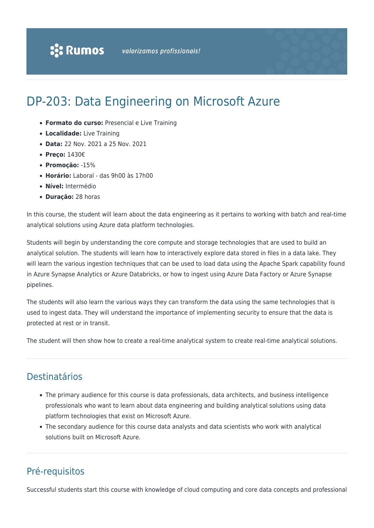# DP-203: Data Engineering on Microsoft Azure

- **Formato do curso:** Presencial e Live Training
- **Localidade:** Live Training
- **Data:** 22 Nov. 2021 a 25 Nov. 2021
- **Preço:** 1430€
- **Promoção:** -15%
- **Horário:** Laboral das 9h00 às 17h00
- **Nível:** Intermédio
- **Duração:** 28 horas

In this course, the student will learn about the data engineering as it pertains to working with batch and real-time analytical solutions using Azure data platform technologies.

Students will begin by understanding the core compute and storage technologies that are used to build an analytical solution. The students will learn how to interactively explore data stored in files in a data lake. They will learn the various ingestion techniques that can be used to load data using the Apache Spark capability found in Azure Synapse Analytics or Azure Databricks, or how to ingest using Azure Data Factory or Azure Synapse pipelines.

The students will also learn the various ways they can transform the data using the same technologies that is used to ingest data. They will understand the importance of implementing security to ensure that the data is protected at rest or in transit.

The student will then show how to create a real-time analytical system to create real-time analytical solutions.

# Destinatários

- The primary audience for this course is data professionals, data architects, and business intelligence professionals who want to learn about data engineering and building analytical solutions using data platform technologies that exist on Microsoft Azure.
- The secondary audience for this course data analysts and data scientists who work with analytical solutions built on Microsoft Azure.

# Pré-requisitos

Successful students start this course with knowledge of cloud computing and core data concepts and professional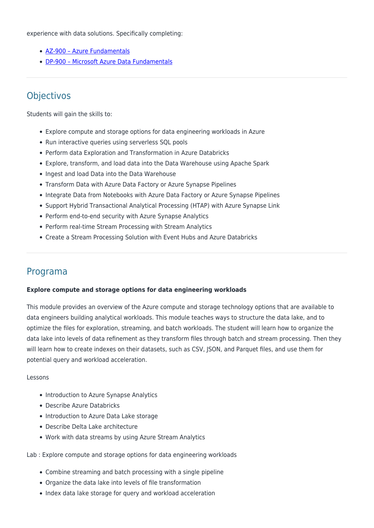experience with data solutions. Specifically completing:

- [AZ-900 Azure Fundamentals](https://www.rumos.pt/?p=29606)
- [DP-900 Microsoft Azure Data Fundamentals](https://www.rumos.pt/?p=41534)

# **Objectivos**

Students will gain the skills to:

- Explore compute and storage options for data engineering workloads in Azure
- Run interactive queries using serverless SQL pools
- Perform data Exploration and Transformation in Azure Databricks
- Explore, transform, and load data into the Data Warehouse using Apache Spark
- Ingest and load Data into the Data Warehouse
- Transform Data with Azure Data Factory or Azure Synapse Pipelines
- Integrate Data from Notebooks with Azure Data Factory or Azure Synapse Pipelines
- Support Hybrid Transactional Analytical Processing (HTAP) with Azure Synapse Link
- Perform end-to-end security with Azure Synapse Analytics
- Perform real-time Stream Processing with Stream Analytics
- Create a Stream Processing Solution with Event Hubs and Azure Databricks

# Programa

#### **Explore compute and storage options for data engineering workloads**

This module provides an overview of the Azure compute and storage technology options that are available to data engineers building analytical workloads. This module teaches ways to structure the data lake, and to optimize the files for exploration, streaming, and batch workloads. The student will learn how to organize the data lake into levels of data refinement as they transform files through batch and stream processing. Then they will learn how to create indexes on their datasets, such as CSV, JSON, and Parquet files, and use them for potential query and workload acceleration.

#### Lessons

- Introduction to Azure Synapse Analytics
- Describe Azure Databricks
- Introduction to Azure Data Lake storage
- Describe Delta Lake architecture
- Work with data streams by using Azure Stream Analytics
- Lab : Explore compute and storage options for data engineering workloads
	- Combine streaming and batch processing with a single pipeline
	- Organize the data lake into levels of file transformation
	- Index data lake storage for query and workload acceleration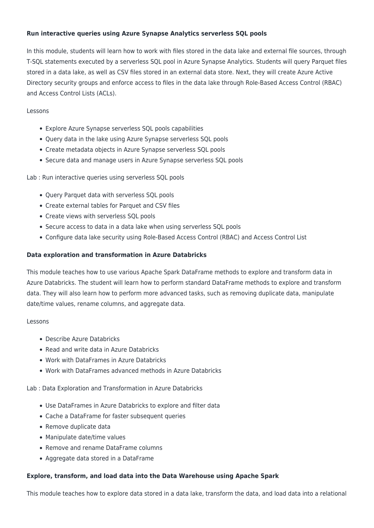# **Run interactive queries using Azure Synapse Analytics serverless SQL pools**

In this module, students will learn how to work with files stored in the data lake and external file sources, through T-SQL statements executed by a serverless SQL pool in Azure Synapse Analytics. Students will query Parquet files stored in a data lake, as well as CSV files stored in an external data store. Next, they will create Azure Active Directory security groups and enforce access to files in the data lake through Role-Based Access Control (RBAC) and Access Control Lists (ACLs).

# Lessons

- Explore Azure Synapse serverless SQL pools capabilities
- Query data in the lake using Azure Synapse serverless SQL pools
- Create metadata objects in Azure Synapse serverless SQL pools
- Secure data and manage users in Azure Synapse serverless SQL pools

Lab : Run interactive queries using serverless SQL pools

- Query Parquet data with serverless SQL pools
- Create external tables for Parquet and CSV files
- Create views with serverless SQL pools
- Secure access to data in a data lake when using serverless SQL pools
- Configure data lake security using Role-Based Access Control (RBAC) and Access Control List

## **Data exploration and transformation in Azure Databricks**

This module teaches how to use various Apache Spark DataFrame methods to explore and transform data in Azure Databricks. The student will learn how to perform standard DataFrame methods to explore and transform data. They will also learn how to perform more advanced tasks, such as removing duplicate data, manipulate date/time values, rename columns, and aggregate data.

## Lessons

- Describe Azure Databricks
- Read and write data in Azure Databricks
- Work with DataFrames in Azure Databricks
- Work with DataFrames advanced methods in Azure Databricks

Lab : Data Exploration and Transformation in Azure Databricks

- Use DataFrames in Azure Databricks to explore and filter data
- Cache a DataFrame for faster subsequent queries
- Remove duplicate data
- Manipulate date/time values
- Remove and rename DataFrame columns
- Aggregate data stored in a DataFrame

## **Explore, transform, and load data into the Data Warehouse using Apache Spark**

This module teaches how to explore data stored in a data lake, transform the data, and load data into a relational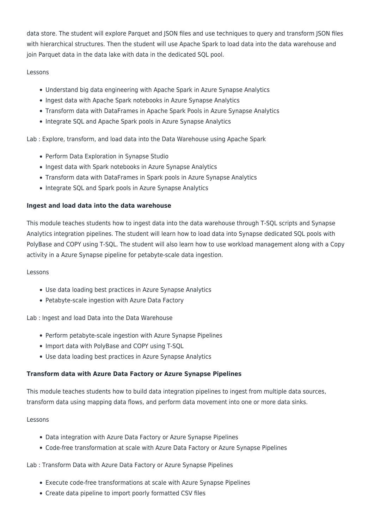data store. The student will explore Parquet and JSON files and use techniques to query and transform JSON files with hierarchical structures. Then the student will use Apache Spark to load data into the data warehouse and join Parquet data in the data lake with data in the dedicated SQL pool.

# Lessons

- Understand big data engineering with Apache Spark in Azure Synapse Analytics
- Ingest data with Apache Spark notebooks in Azure Synapse Analytics
- Transform data with DataFrames in Apache Spark Pools in Azure Synapse Analytics
- Integrate SQL and Apache Spark pools in Azure Synapse Analytics

Lab : Explore, transform, and load data into the Data Warehouse using Apache Spark

- Perform Data Exploration in Synapse Studio
- Ingest data with Spark notebooks in Azure Synapse Analytics
- Transform data with DataFrames in Spark pools in Azure Synapse Analytics
- Integrate SQL and Spark pools in Azure Synapse Analytics

## **Ingest and load data into the data warehouse**

This module teaches students how to ingest data into the data warehouse through T-SQL scripts and Synapse Analytics integration pipelines. The student will learn how to load data into Synapse dedicated SQL pools with PolyBase and COPY using T-SQL. The student will also learn how to use workload management along with a Copy activity in a Azure Synapse pipeline for petabyte-scale data ingestion.

## Lessons

- Use data loading best practices in Azure Synapse Analytics
- Petabyte-scale ingestion with Azure Data Factory

Lab : Ingest and load Data into the Data Warehouse

- Perform petabyte-scale ingestion with Azure Synapse Pipelines
- Import data with PolyBase and COPY using T-SQL
- Use data loading best practices in Azure Synapse Analytics

## **Transform data with Azure Data Factory or Azure Synapse Pipelines**

This module teaches students how to build data integration pipelines to ingest from multiple data sources, transform data using mapping data flows, and perform data movement into one or more data sinks.

## Lessons

- Data integration with Azure Data Factory or Azure Synapse Pipelines
- Code-free transformation at scale with Azure Data Factory or Azure Synapse Pipelines

## Lab : Transform Data with Azure Data Factory or Azure Synapse Pipelines

- Execute code-free transformations at scale with Azure Synapse Pipelines
- Create data pipeline to import poorly formatted CSV files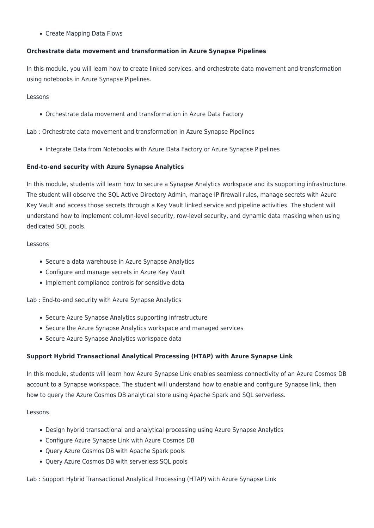Create Mapping Data Flows

# **Orchestrate data movement and transformation in Azure Synapse Pipelines**

In this module, you will learn how to create linked services, and orchestrate data movement and transformation using notebooks in Azure Synapse Pipelines.

Lessons

Orchestrate data movement and transformation in Azure Data Factory

Lab : Orchestrate data movement and transformation in Azure Synapse Pipelines

• Integrate Data from Notebooks with Azure Data Factory or Azure Synapse Pipelines

#### **End-to-end security with Azure Synapse Analytics**

In this module, students will learn how to secure a Synapse Analytics workspace and its supporting infrastructure. The student will observe the SQL Active Directory Admin, manage IP firewall rules, manage secrets with Azure Key Vault and access those secrets through a Key Vault linked service and pipeline activities. The student will understand how to implement column-level security, row-level security, and dynamic data masking when using dedicated SQL pools.

#### Lessons

- Secure a data warehouse in Azure Synapse Analytics
- Configure and manage secrets in Azure Key Vault
- Implement compliance controls for sensitive data

Lab : End-to-end security with Azure Synapse Analytics

- Secure Azure Synapse Analytics supporting infrastructure
- Secure the Azure Synapse Analytics workspace and managed services
- Secure Azure Synapse Analytics workspace data

## **Support Hybrid Transactional Analytical Processing (HTAP) with Azure Synapse Link**

In this module, students will learn how Azure Synapse Link enables seamless connectivity of an Azure Cosmos DB account to a Synapse workspace. The student will understand how to enable and configure Synapse link, then how to query the Azure Cosmos DB analytical store using Apache Spark and SQL serverless.

#### Lessons

- Design hybrid transactional and analytical processing using Azure Synapse Analytics
- Configure Azure Synapse Link with Azure Cosmos DB
- Query Azure Cosmos DB with Apache Spark pools
- Query Azure Cosmos DB with serverless SQL pools

Lab : Support Hybrid Transactional Analytical Processing (HTAP) with Azure Synapse Link